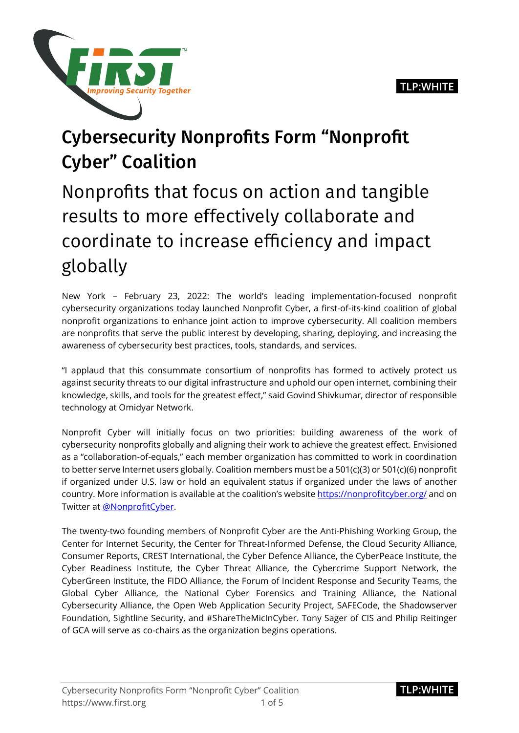

# Cybersecurity Nonprofits Form "Nonprofit Cyber" Coalition

Nonprofits that focus on action and tangible results to more effectively collaborate and coordinate to increase efficiency and impact globally

New York – February 23, 2022: The world's leading implementation-focused nonprofit cybersecurity organizations today launched Nonprofit Cyber, a first-of-its-kind coalition of global nonprofit organizations to enhance joint action to improve cybersecurity. All coalition members are nonprofits that serve the public interest by developing, sharing, deploying, and increasing the awareness of cybersecurity best practices, tools, standards, and services.

"I applaud that this consummate consortium of nonprofits has formed to actively protect us against security threats to our digital infrastructure and uphold our open internet, combining their knowledge, skills, and tools for the greatest effect," said Govind Shivkumar, director of responsible technology at Omidyar Network.

Nonprofit Cyber will initially focus on two priorities: building awareness of the work of cybersecurity nonprofits globally and aligning their work to achieve the greatest effect. Envisioned as a "collaboration-of-equals," each member organization has committed to work in coordination to better serve Internet users globally. Coalition members must be a 501(c)(3) or 501(c)(6) nonprofit if organized under U.S. law or hold an equivalent status if organized under the laws of another country. More information is available at the coalition's website <https://nonprofitcyber.org/> and on Twitter at [@NonprofitCyber](https://twitter.com/NonprofitCyber).

The twenty-two founding members of Nonprofit Cyber are the Anti-Phishing Working Group, the Center for Internet Security, the Center for Threat-Informed Defense, the Cloud Security Alliance, Consumer Reports, CREST International, the Cyber Defence Alliance, the CyberPeace Institute, the Cyber Readiness Institute, the Cyber Threat Alliance, the Cybercrime Support Network, the CyberGreen Institute, the FIDO Alliance, the Forum of Incident Response and Security Teams, the Global Cyber Alliance, the National Cyber Forensics and Training Alliance, the National Cybersecurity Alliance, the Open Web Application Security Project, SAFECode, the Shadowserver Foundation, Sightline Security, and #ShareTheMicInCyber. Tony Sager of CIS and Philip Reitinger of GCA will serve as co-chairs as the organization begins operations.

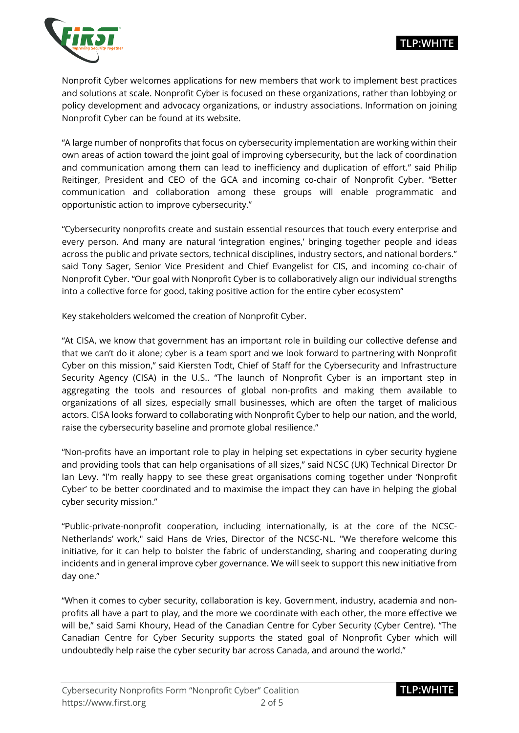

Nonprofit Cyber welcomes applications for new members that work to implement best practices and solutions at scale. Nonprofit Cyber is focused on these organizations, rather than lobbying or policy development and advocacy organizations, or industry associations. Information on joining Nonprofit Cyber can be found at its website.

"A large number of nonprofits that focus on cybersecurity implementation are working within their own areas of action toward the joint goal of improving cybersecurity, but the lack of coordination and communication among them can lead to inefficiency and duplication of effort." said Philip Reitinger, President and CEO of the GCA and incoming co-chair of Nonprofit Cyber. "Better communication and collaboration among these groups will enable programmatic and opportunistic action to improve cybersecurity."

"Cybersecurity nonprofits create and sustain essential resources that touch every enterprise and every person. And many are natural 'integration engines,' bringing together people and ideas across the public and private sectors, technical disciplines, industry sectors, and national borders." said Tony Sager, Senior Vice President and Chief Evangelist for CIS, and incoming co-chair of Nonprofit Cyber. "Our goal with Nonprofit Cyber is to collaboratively align our individual strengths into a collective force for good, taking positive action for the entire cyber ecosystem"

Key stakeholders welcomed the creation of Nonprofit Cyber.

"At CISA, we know that government has an important role in building our collective defense and that we can't do it alone; cyber is a team sport and we look forward to partnering with Nonprofit Cyber on this mission," said Kiersten Todt, Chief of Staff for the Cybersecurity and Infrastructure Security Agency (CISA) in the U.S.. "The launch of Nonprofit Cyber is an important step in aggregating the tools and resources of global non-profits and making them available to organizations of all sizes, especially small businesses, which are often the target of malicious actors. CISA looks forward to collaborating with Nonprofit Cyber to help our nation, and the world, raise the cybersecurity baseline and promote global resilience."

"Non-profits have an important role to play in helping set expectations in cyber security hygiene and providing tools that can help organisations of all sizes," said NCSC (UK) Technical Director Dr Ian Levy. "I'm really happy to see these great organisations coming together under 'Nonprofit Cyber' to be better coordinated and to maximise the impact they can have in helping the global cyber security mission."

"Public-private-nonprofit cooperation, including internationally, is at the core of the NCSC-Netherlands' work," said Hans de Vries, Director of the NCSC-NL. "We therefore welcome this initiative, for it can help to bolster the fabric of understanding, sharing and cooperating during incidents and in general improve cyber governance. We will seek to support this new initiative from day one."

"When it comes to cyber security, collaboration is key. Government, industry, academia and nonprofits all have a part to play, and the more we coordinate with each other, the more effective we will be," said Sami Khoury, Head of the Canadian Centre for Cyber Security (Cyber Centre). "The Canadian Centre for Cyber Security supports the stated goal of Nonprofit Cyber which will undoubtedly help raise the cyber security bar across Canada, and around the world."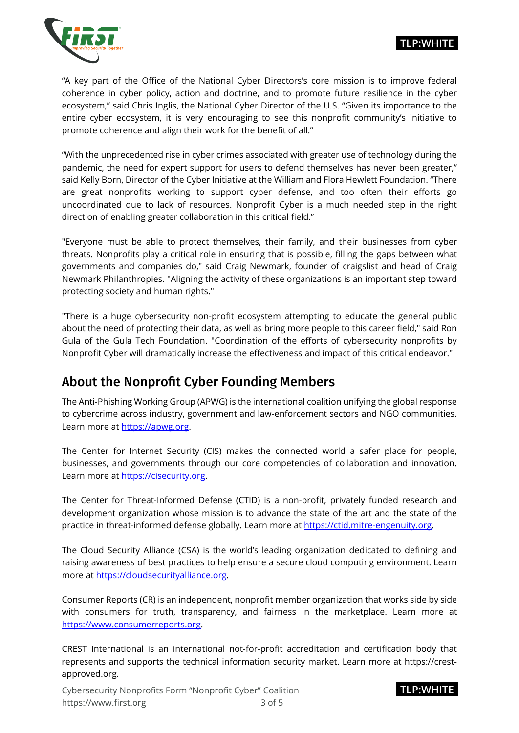### **TLP:WHITE**



"A key part of the Office of the National Cyber Directors's core mission is to improve federal coherence in cyber policy, action and doctrine, and to promote future resilience in the cyber ecosystem," said Chris Inglis, the National Cyber Director of the U.S. "Given its importance to the entire cyber ecosystem, it is very encouraging to see this nonprofit community's initiative to promote coherence and align their work for the benefit of all."

"With the unprecedented rise in cyber crimes associated with greater use of technology during the pandemic, the need for expert support for users to defend themselves has never been greater," said Kelly Born, Director of the Cyber Initiative at the William and Flora Hewlett Foundation. "There are great nonprofits working to support cyber defense, and too often their efforts go uncoordinated due to lack of resources. Nonprofit Cyber is a much needed step in the right direction of enabling greater collaboration in this critical field."

"Everyone must be able to protect themselves, their family, and their businesses from cyber threats. Nonprofits play a critical role in ensuring that is possible, filling the gaps between what governments and companies do," said Craig Newmark, founder of craigslist and head of Craig Newmark Philanthropies. "Aligning the activity of these organizations is an important step toward protecting society and human rights."

"There is a huge cybersecurity non-profit ecosystem attempting to educate the general public about the need of protecting their data, as well as bring more people to this career field," said Ron Gula of the Gula Tech Foundation. "Coordination of the efforts of cybersecurity nonprofits by Nonprofit Cyber will dramatically increase the effectiveness and impact of this critical endeavor."

## About the Nonprofit Cyber Founding Members

The Anti-Phishing Working Group (APWG) is the international coalition unifying the global response to cybercrime across industry, government and law-enforcement sectors and NGO communities. Learn more at [https://apwg.org](https://apwg.org/).

The Center for Internet Security (CIS) makes the connected world a safer place for people, businesses, and governments through our core competencies of collaboration and innovation. Learn more at [https://cisecurity.org](https://cisecurity.org/).

The Center for Threat-Informed Defense (CTID) is a non-profit, privately funded research and development organization whose mission is to advance the state of the art and the state of the practice in threat-informed defense globally. Learn more a[t https://ctid.mitre](https://ctid.mitre-engenuity.org/)-engenuity.org.

The Cloud Security Alliance (CSA) is the world's leading organization dedicated to defining and raising awareness of best practices to help ensure a secure cloud computing environment. Learn more at https://[cloudsecurityalliance.org](https://cloudsecurityalliance.org/).

Consumer Reports (CR) is an independent, nonprofit member organization that works side by side with consumers for truth, transparency, and fairness in the marketplace. Learn more at [https://www.consumerreports.org](https://www.consumerreports.org/).

CREST International is an international not-for-profit accreditation and certification body that represents and supports the technical information security market. Learn more at https://crestapproved.org.

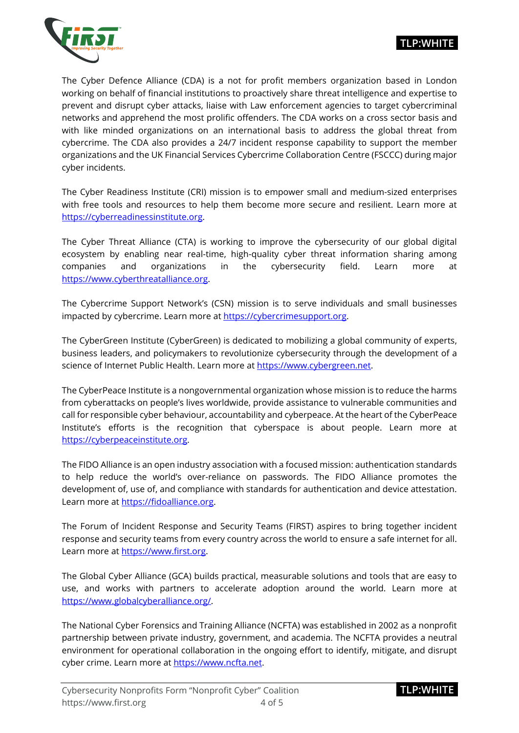

The Cyber Defence Alliance (CDA) is a not for profit members organization based in London working on behalf of financial institutions to proactively share threat intelligence and expertise to prevent and disrupt cyber attacks, liaise with Law enforcement agencies to target cybercriminal networks and apprehend the most prolific offenders. The CDA works on a cross sector basis and with like minded organizations on an international basis to address the global threat from cybercrime. The CDA also provides a 24/7 incident response capability to support the member organizations and the UK Financial Services Cybercrime Collaboration Centre (FSCCC) during major cyber incidents.

The Cyber Readiness Institute (CRI) mission is to empower small and medium-sized enterprises with free tools and resources to help them become more secure and resilient. Learn more at [https://cyberreadinessinstitute.org](https://cyberreadinessinstitute.org/).

The Cyber Threat Alliance (CTA) is working to improve the cybersecurity of our global digital ecosystem by enabling near real-time, high-quality cyber threat information sharing among companies and organizations in the cybersecurity field. Learn more at [https://www.cyberthreatalliance.org](https://www.cyberthreatalliance.org/).

The Cybercrime Support Network's (CSN) mission is to serve individuals and small businesses impacted by cybercrime. Learn more at [https://cybercrimesupport.org](https://cybercrimesupport.org/).

The CyberGreen Institute (CyberGreen) is dedicated to mobilizing a global community of experts, business leaders, and policymakers to revolutionize cybersecurity through the development of a science of Internet Public Health. Learn more at https://w[ww.cybergreen.net](https://www.cybergreen.net/).

The CyberPeace Institute is a nongovernmental organization whose mission is to reduce the harms from cyberattacks on people's lives worldwide, provide assistance to vulnerable communities and call for responsible cyber behaviour, accountability and cyberpeace. At the heart of the CyberPeace Institute's efforts is the recognition that cyberspace is about people. Learn more at [https://cyberpeaceinstitute.org](https://cyberpeaceinstitute.org/).

The FIDO Alliance is an open industry association with a focused mission: authentication standards to help reduce the world's over-reliance on passwords. The FIDO Alliance promotes the development of, use of, and compliance with standards for authentication and device attestation. Learn more at [https://fidoalliance.org](https://fidoalliance.org/).

The Forum of Incident Response and Security Teams (FIRST) aspires to bring together incident response and security teams from every country across the world to ensure a safe internet for all. Learn more at [https://www.first.org](https://www.first.org/).

The Global Cyber Alliance (GCA) builds practical, measurable solutions and tools that are easy to use, and works with partners to accelerate adoption around the world. Learn more at <https://www.globalcyberalliance.org/>.

The National Cyber Forensics and Training Alliance (NCFTA) was established in 2002 as a nonprofit partnership between private industry, government, and academia. The NCFTA provides a neutral environment for operational collaboration in the ongoing effort to identify, mitigate, and disrupt cyber crime. Learn more at [https://www.ncfta.net](https://www.ncfta.net/).